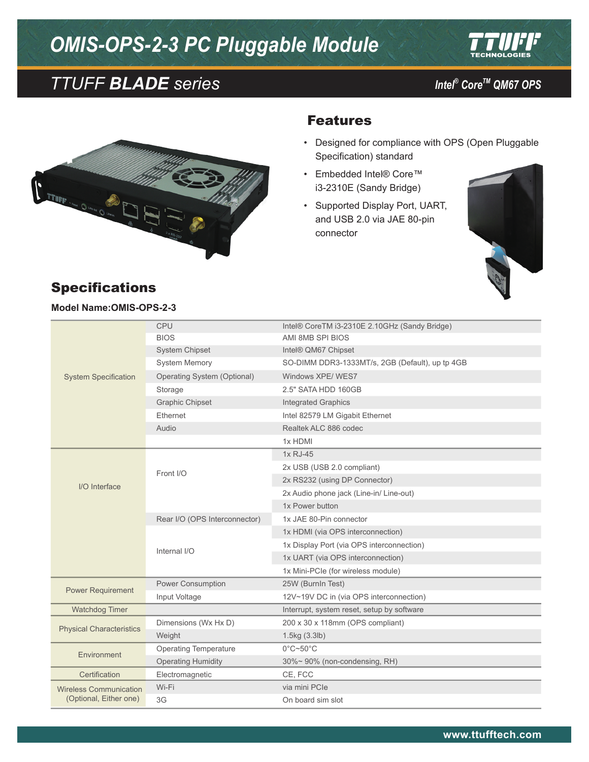# *OMIS-OPS-2-3 PC Pluggable Module*







#### Features

- • Designed for compliance with OPS (Open Pluggable Specification) standard
- • Embedded Intel® Core™ i3-2310E (Sandy Bridge)
- • Supported Display Port, UART, and USB 2.0 via JAE 80-pin connector



#### Specifications **Model Name:OMIS-OPS-2-3**

| <b>System Specification</b>                             | <b>CPU</b>                    | Intel® CoreTM i3-2310E 2.10GHz (Sandy Bridge)   |
|---------------------------------------------------------|-------------------------------|-------------------------------------------------|
|                                                         | <b>BIOS</b>                   | AMI 8MB SPI BIOS                                |
|                                                         | <b>System Chipset</b>         | Intel® QM67 Chipset                             |
|                                                         | <b>System Memory</b>          | SO-DIMM DDR3-1333MT/s, 2GB (Default), up tp 4GB |
|                                                         | Operating System (Optional)   | Windows XPE/WES7                                |
|                                                         | Storage                       | 2.5" SATA HDD 160GB                             |
|                                                         | <b>Graphic Chipset</b>        | <b>Integrated Graphics</b>                      |
|                                                         | Ethernet                      | Intel 82579 LM Gigabit Ethernet                 |
|                                                         | Audio                         | Realtek ALC 886 codec                           |
|                                                         |                               | 1x HDMI                                         |
| I/O Interface                                           | Front I/O                     | 1x RJ-45                                        |
|                                                         |                               | 2x USB (USB 2.0 compliant)                      |
|                                                         |                               | 2x RS232 (using DP Connector)                   |
|                                                         |                               | 2x Audio phone jack (Line-in/ Line-out)         |
|                                                         |                               | 1x Power button                                 |
|                                                         | Rear I/O (OPS Interconnector) | 1x JAE 80-Pin connector                         |
|                                                         | Internal I/O                  | 1x HDMI (via OPS interconnection)               |
|                                                         |                               | 1x Display Port (via OPS interconnection)       |
|                                                         |                               | 1x UART (via OPS interconnection)               |
|                                                         |                               | 1x Mini-PCIe (for wireless module)              |
| <b>Power Requirement</b>                                | Power Consumption             | 25W (BurnIn Test)                               |
|                                                         | Input Voltage                 | 12V~19V DC in (via OPS interconnection)         |
| <b>Watchdog Timer</b>                                   |                               | Interrupt, system reset, setup by software      |
| <b>Physical Characteristics</b>                         | Dimensions (Wx Hx D)          | 200 x 30 x 118mm (OPS compliant)                |
|                                                         | Weight                        | 1.5kg(3.3lb)                                    |
| Environment                                             | <b>Operating Temperature</b>  | $0^{\circ}$ C~50 $^{\circ}$ C                   |
|                                                         | <b>Operating Humidity</b>     | 30%~90% (non-condensing, RH)                    |
| Certification                                           | Electromagnetic               | CE, FCC                                         |
| <b>Wireless Communication</b><br>(Optional, Either one) | Wi-Fi                         | via mini PCIe                                   |
|                                                         | 3G                            | On board sim slot                               |
|                                                         |                               |                                                 |